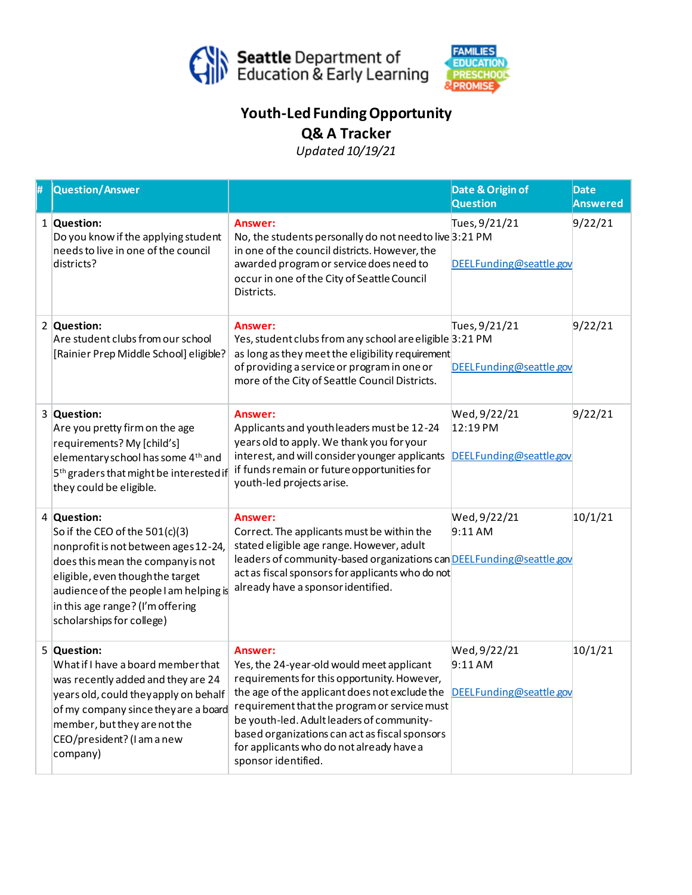



## **Youth-LedFunding Opportunity Q& A Tracker**

*Updated 10/19/21*

| # | Question/Answer                                                                                                                                                                                                                                                           |                                                                                                                                                                                                                                                                                                                                                                                                | Date & Origin of<br><b>Question</b>                 | <b>Date</b><br><b>Answered</b> |
|---|---------------------------------------------------------------------------------------------------------------------------------------------------------------------------------------------------------------------------------------------------------------------------|------------------------------------------------------------------------------------------------------------------------------------------------------------------------------------------------------------------------------------------------------------------------------------------------------------------------------------------------------------------------------------------------|-----------------------------------------------------|--------------------------------|
|   | 1 Question:<br>Do you know if the applying student<br>needs to live in one of the council<br>districts?                                                                                                                                                                   | Answer:<br>No, the students personally do not need to live 3:21 PM<br>in one of the council districts. However, the<br>awarded program or service does need to<br>occur in one of the City of Seattle Council<br>Districts.                                                                                                                                                                    | Tues, 9/21/21<br>DEELFunding@seattle.gov            | 9/22/21                        |
|   | 2 Question:<br>Are student clubs from our school<br>[Rainier Prep Middle School] eligible?                                                                                                                                                                                | Answer:<br>Yes, student clubs from any school are eligible 3:21 PM<br>as long as they meet the eligibility requirement<br>of providing a service or program in one or<br>more of the City of Seattle Council Districts.                                                                                                                                                                        | Tues, 9/21/21<br>DEELFunding@seattle.gov            | 9/22/21                        |
|   | 3 Question:<br>Are you pretty firm on the age<br>requirements? My [child's]<br>elementary school has some 4 <sup>th</sup> and<br>5 <sup>th</sup> graders that might be interested if<br>they could be eligible.                                                           | Answer:<br>Applicants and youth leaders must be 12-24<br>years old to apply. We thank you for your<br>interest, and will consider younger applicants<br>if funds remain or future opportunities for<br>youth-led projects arise.                                                                                                                                                               | Wed, 9/22/21<br>12:19 PM<br>DEELFunding@seattle.gov | 9/22/21                        |
|   | 4 Question:<br>So if the CEO of the 501(c)(3)<br>nonprofit is not between ages 12-24,<br>does this mean the company is not<br>eligible, even though the target<br>audience of the people I am helping is<br>in this age range? (I'm offering<br>scholarships for college) | Answer:<br>Correct. The applicants must be within the<br>stated eligible age range. However, adult<br>leaders of community-based organizations can DEELFunding@seattle.gov<br>act as fiscal sponsors for applicants who do not<br>already have a sponsor identified.                                                                                                                           | Wed, 9/22/21<br>9:11AM                              | 10/1/21                        |
|   | 5 Question:<br>What if I have a board member that<br>was recently added and they are 24<br>years old, could they apply on behalf<br>of my company since they are a board<br>member, but they are not the<br>CEO/president? (I am a new<br>company)                        | Answer:<br>Yes, the 24-year-old would meet applicant<br>requirements for this opportunity. However,<br>the age of the applicant does not exclude the DEELFunding@seattle.gov<br>requirement that the program or service must<br>be youth-led. Adult leaders of community-<br>based organizations can act as fiscal sponsors<br>for applicants who do not already have a<br>sponsor identified. | Wed, 9/22/21<br>9:11AM                              | 10/1/21                        |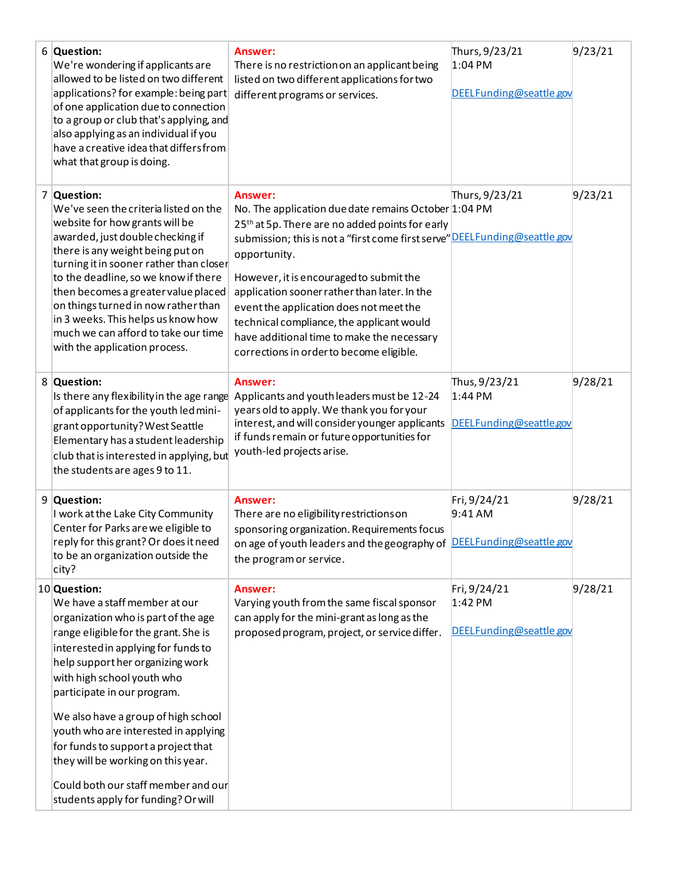| 6 Question:<br>We're wondering if applicants are<br>allowed to be listed on two different<br>applications? for example: being part<br>of one application due to connection<br>to a group or club that's applying, and<br>also applying as an individual if you<br>have a creative idea that differs from<br>what that group is doing.                                                                                                                                                                          | Answer:<br>There is no restriction on an applicant being<br>listed on two different applications for two<br>different programs or services.                                                                                                                                                                                                                                                                                                                                                                | Thurs, 9/23/21<br>1:04 PM<br>DEELFunding@seattle.gov  | 9/23/21 |
|----------------------------------------------------------------------------------------------------------------------------------------------------------------------------------------------------------------------------------------------------------------------------------------------------------------------------------------------------------------------------------------------------------------------------------------------------------------------------------------------------------------|------------------------------------------------------------------------------------------------------------------------------------------------------------------------------------------------------------------------------------------------------------------------------------------------------------------------------------------------------------------------------------------------------------------------------------------------------------------------------------------------------------|-------------------------------------------------------|---------|
| 7 Question:<br>We've seen the criteria listed on the<br>website for how grants will be<br>awarded, just double checking if<br>there is any weight being put on<br>turning it in sooner rather than closer<br>to the deadline, so we know if there<br>then becomes a greater value placed<br>on things turned in now rather than<br>in 3 weeks. This helps us know how<br>much we can afford to take our time<br>with the application process.                                                                  | Answer:<br>No. The application due date remains October 1:04 PM<br>25 <sup>th</sup> at 5p. There are no added points for early<br>submission; this is not a "first come first serve" DEEL Funding@seattle.gov<br>opportunity.<br>However, it is encouraged to submit the<br>application sooner rather than later. In the<br>event the application does not meet the<br>technical compliance, the applicant would<br>have additional time to make the necessary<br>corrections in order to become eligible. | Thurs, 9/23/21                                        | 9/23/21 |
| 8 Question:<br>Is there any flexibility in the age range<br>of applicants for the youth led mini-<br>grant opportunity? West Seattle<br>Elementary has a student leadership<br>club that is interested in applying, but<br>the students are ages 9 to 11.                                                                                                                                                                                                                                                      | Answer:<br>Applicants and youth leaders must be 12-24<br>years old to apply. We thank you for your<br>interest, and will consider younger applicants<br>if funds remain or future opportunities for<br>youth-led projects arise.                                                                                                                                                                                                                                                                           | Thus, 9/23/21<br>$1:44$ PM<br>DEELFunding@seattle.gov | 9/28/21 |
| 9 Question:<br>I work at the Lake City Community<br>Center for Parks are we eligible to<br>reply for this grant? Or does it need<br>to be an organization outside the<br>city?                                                                                                                                                                                                                                                                                                                                 | Answer:<br>There are no eligibility restrictions on<br>sponsoring organization. Requirements focus<br>on age of youth leaders and the geography of DEEL Funding@seattle.gov<br>the program or service.                                                                                                                                                                                                                                                                                                     | Fri, 9/24/21<br>$9:41$ AM                             | 9/28/21 |
| 10 Question:<br>We have a staff member at our<br>organization who is part of the age<br>range eligible for the grant. She is<br>interested in applying for funds to<br>help support her organizing work<br>with high school youth who<br>participate in our program.<br>We also have a group of high school<br>youth who are interested in applying<br>for funds to support a project that<br>they will be working on this year.<br>Could both our staff member and our<br>students apply for funding? Or will | Answer:<br>Varying youth from the same fiscal sponsor<br>can apply for the mini-grant as long as the<br>proposed program, project, or service differ.                                                                                                                                                                                                                                                                                                                                                      | Fri, 9/24/21<br>$1:42$ PM<br>DEELFunding@seattle.gov  | 9/28/21 |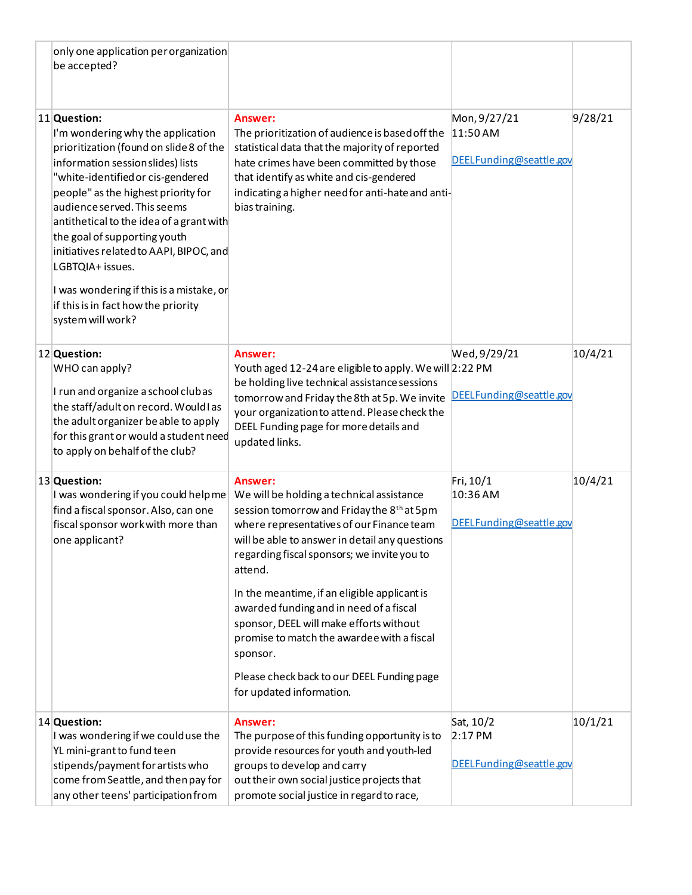|  | only one application per organization<br>be accepted?                                                                                                                                                                                                                                                                                                                                                                                                                                           |                                                                                                                                                                                                                                                                                                                                                                                                                                                                                                                                                   |                                                     |         |
|--|-------------------------------------------------------------------------------------------------------------------------------------------------------------------------------------------------------------------------------------------------------------------------------------------------------------------------------------------------------------------------------------------------------------------------------------------------------------------------------------------------|---------------------------------------------------------------------------------------------------------------------------------------------------------------------------------------------------------------------------------------------------------------------------------------------------------------------------------------------------------------------------------------------------------------------------------------------------------------------------------------------------------------------------------------------------|-----------------------------------------------------|---------|
|  | 11 Question:<br>I'm wondering why the application<br>prioritization (found on slide 8 of the<br>information session slides) lists<br>"white-identified or cis-gendered<br>people" as the highest priority for<br>audience served. This seems<br>antithetical to the idea of a grant with<br>the goal of supporting youth<br>initiatives related to AAPI, BIPOC, and<br>LGBTQIA+ issues.<br>I was wondering if this is a mistake, or<br>if this is in fact how the priority<br>system will work? | Answer:<br>The prioritization of audience is based off the<br>statistical data that the majority of reported<br>hate crimes have been committed by those<br>that identify as white and cis-gendered<br>indicating a higher need for anti-hate and anti-<br>bias training.                                                                                                                                                                                                                                                                         | Mon, 9/27/21<br>11:50 AM<br>DEELFunding@seattle.gov | 9/28/21 |
|  | 12 Question:<br>WHO can apply?<br>I run and organize a school clubas<br>the staff/adult on record. Would I as<br>the adult organizer be able to apply<br>for this grant or would a student need<br>to apply on behalf of the club?                                                                                                                                                                                                                                                              | Answer:<br>Youth aged 12-24 are eligible to apply. We will 2:22 PM<br>be holding live technical assistance sessions<br>tomorrow and Friday the 8th at 5p. We invite<br>your organization to attend. Please check the<br>DEEL Funding page for more details and<br>updated links.                                                                                                                                                                                                                                                                  | Wed, 9/29/21<br>DEELFunding@seattle.gov             | 10/4/21 |
|  | 13 Question:<br>I was wondering if you could helpme<br>find a fiscal sponsor. Also, can one<br>fiscal sponsor work with more than<br>one applicant?                                                                                                                                                                                                                                                                                                                                             | Answer:<br>We will be holding a technical assistance<br>session tomorrow and Friday the 8 <sup>th</sup> at 5pm<br>where representatives of our Finance team<br>will be able to answer in detail any questions<br>regarding fiscal sponsors; we invite you to<br>attend.<br>In the meantime, if an eligible applicant is<br>awarded funding and in need of a fiscal<br>sponsor, DEEL will make efforts without<br>promise to match the awardee with a fiscal<br>sponsor.<br>Please check back to our DEEL Funding page<br>for updated information. | Fri, 10/1<br>10:36 AM<br>DEELFunding@seattle.gov    | 10/4/21 |
|  | 14 Question:<br>I was wondering if we coulduse the<br>YL mini-grant to fund teen<br>stipends/payment for artists who<br>come from Seattle, and then pay for<br>any other teens' participation from                                                                                                                                                                                                                                                                                              | Answer:<br>The purpose of this funding opportunity is to<br>provide resources for youth and youth-led<br>groups to develop and carry<br>out their own social justice projects that<br>promote social justice in regard to race,                                                                                                                                                                                                                                                                                                                   | Sat, 10/2<br>$2:17$ PM<br>DEELFunding@seattle.gov   | 10/1/21 |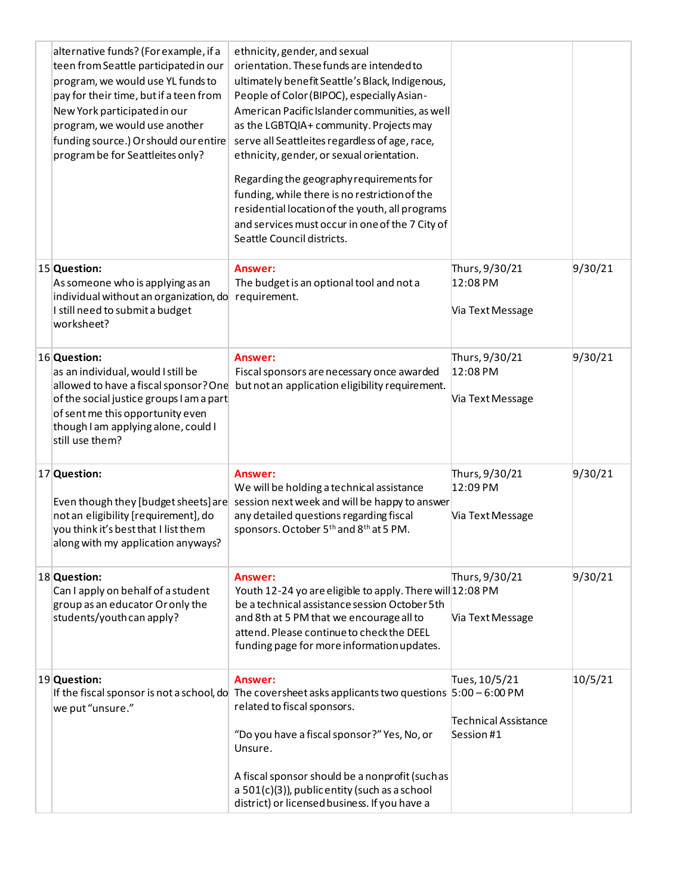| alternative funds? (For example, if a<br>teen from Seattle participated in our<br>program, we would use YL funds to<br>pay for their time, but if a teen from<br>New York participated in our<br>program, we would use another<br>funding source.) Or should our entire<br>program be for Seattleites only? | ethnicity, gender, and sexual<br>orientation. These funds are intended to<br>ultimately benefit Seattle's Black, Indigenous,<br>People of Color (BIPOC), especially Asian-<br>American Pacific Islander communities, as well<br>as the LGBTQIA+ community. Projects may<br>serve all Seattleites regardless of age, race,<br>ethnicity, gender, or sexual orientation.<br>Regarding the geography requirements for<br>funding, while there is no restriction of the<br>residential location of the youth, all programs<br>and services must occur in one of the 7 City of<br>Seattle Council districts. |                                                            |         |
|-------------------------------------------------------------------------------------------------------------------------------------------------------------------------------------------------------------------------------------------------------------------------------------------------------------|---------------------------------------------------------------------------------------------------------------------------------------------------------------------------------------------------------------------------------------------------------------------------------------------------------------------------------------------------------------------------------------------------------------------------------------------------------------------------------------------------------------------------------------------------------------------------------------------------------|------------------------------------------------------------|---------|
| 15 Question:<br>As someone who is applying as an<br>individual without an organization, do<br>I still need to submit a budget<br>worksheet?                                                                                                                                                                 | Answer:<br>The budget is an optional tool and not a<br>requirement.                                                                                                                                                                                                                                                                                                                                                                                                                                                                                                                                     | Thurs, 9/30/21<br>12:08 PM<br>Via Text Message             | 9/30/21 |
| 16 Question:<br>as an individual, would I still be<br>allowed to have a fiscal sponsor? One<br>of the social justice groups I am a part<br>of sent me this opportunity even<br>though I am applying alone, could I<br>still use them?                                                                       | Answer:<br>Fiscal sponsors are necessary once awarded<br>but not an application eligibility requirement.                                                                                                                                                                                                                                                                                                                                                                                                                                                                                                | Thurs, 9/30/21<br>12:08 PM<br>Via Text Message             | 9/30/21 |
| 17 Question:<br>Even though they [budget sheets] are<br>not an eligibility [requirement], do<br>you think it's best that I list them<br>along with my application anyways?                                                                                                                                  | Answer:<br>We will be holding a technical assistance<br>session next week and will be happy to answer<br>any detailed questions regarding fiscal<br>sponsors. October 5 <sup>th</sup> and 8 <sup>th</sup> at 5 PM.                                                                                                                                                                                                                                                                                                                                                                                      | Thurs, 9/30/21<br>12:09 PM<br>Via Text Message             | 9/30/21 |
| 18 Question:<br>Can I apply on behalf of a student<br>group as an educator Or only the<br>students/youth can apply?                                                                                                                                                                                         | Answer:<br>Youth 12-24 yo are eligible to apply. There will 12:08 PM<br>be a technical assistance session October 5th<br>and 8th at 5 PM that we encourage all to<br>attend. Please continue to check the DEEL<br>funding page for more information updates.                                                                                                                                                                                                                                                                                                                                            | Thurs, 9/30/21<br>Via Text Message                         | 9/30/21 |
| 19 Question:<br>we put "unsure."                                                                                                                                                                                                                                                                            | Answer:<br>If the fiscal sponsor is not a school, do The coversheet asks applicants two questions $5:00 - 6:00$ PM<br>related to fiscal sponsors.<br>"Do you have a fiscal sponsor?" Yes, No, or<br>Unsure.<br>A fiscal sponsor should be a nonprofit (such as<br>a $501(c)(3)$ , public entity (such as a school<br>district) or licensed business. If you have a                                                                                                                                                                                                                                      | Tues, 10/5/21<br><b>Technical Assistance</b><br>Session #1 | 10/5/21 |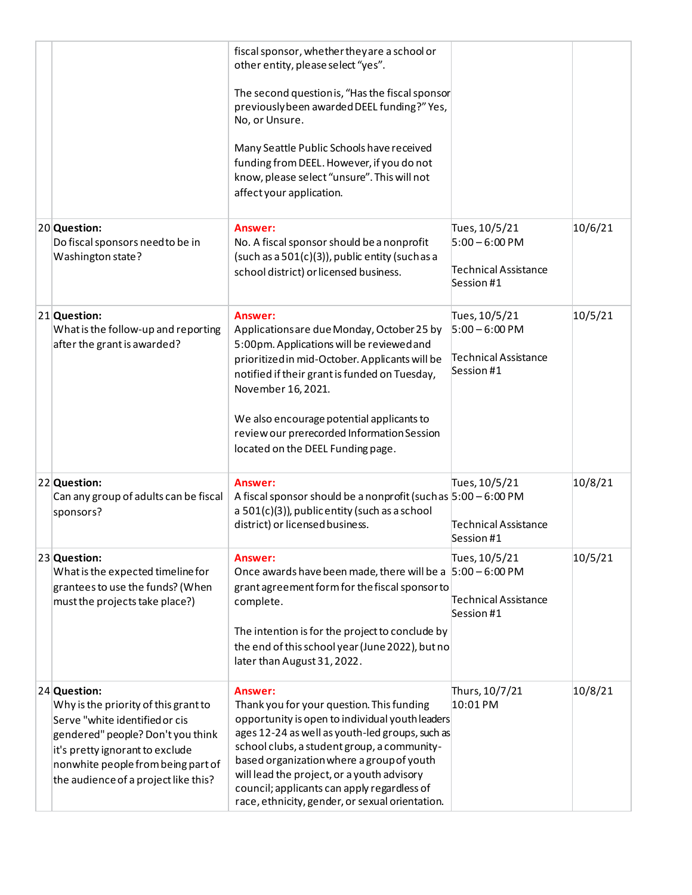|                                                                                                                                                                                                                                              | fiscal sponsor, whether they are a school or<br>other entity, please select "yes".<br>The second question is, "Has the fiscal sponsor<br>previously been awarded DEEL funding?" Yes,<br>No, or Unsure.<br>Many Seattle Public Schools have received<br>funding from DEEL. However, if you do not<br>know, please select "unsure". This will not<br>affect your application.                            |                                                                                |         |
|----------------------------------------------------------------------------------------------------------------------------------------------------------------------------------------------------------------------------------------------|--------------------------------------------------------------------------------------------------------------------------------------------------------------------------------------------------------------------------------------------------------------------------------------------------------------------------------------------------------------------------------------------------------|--------------------------------------------------------------------------------|---------|
| 20 Question:<br>Do fiscal sponsors need to be in<br>Washington state?                                                                                                                                                                        | Answer:<br>No. A fiscal sponsor should be a nonprofit<br>(such as a 501(c)(3)), public entity (such as a<br>school district) or licensed business.                                                                                                                                                                                                                                                     | Tues, 10/5/21<br>$5:00 - 6:00$ PM<br><b>Technical Assistance</b><br>Session #1 | 10/6/21 |
| 21 Question:<br>What is the follow-up and reporting<br>after the grant is awarded?                                                                                                                                                           | Answer:<br>Applications are due Monday, October 25 by<br>5:00pm. Applications will be reviewed and<br>prioritized in mid-October. Applicants will be<br>notified if their grant is funded on Tuesday,<br>November 16, 2021.<br>We also encourage potential applicants to<br>review our prerecorded Information Session<br>located on the DEEL Funding page.                                            | Tues, 10/5/21<br>$5:00 - 6:00$ PM<br><b>Technical Assistance</b><br>Session #1 | 10/5/21 |
| 22 Question:<br>Can any group of adults can be fiscal<br>sponsors?                                                                                                                                                                           | Answer:<br>A fiscal sponsor should be a nonprofit (such as $5:00 - 6:00 \text{ PM}$<br>a 501(c)(3)), public entity (such as a school<br>district) or licensed business.                                                                                                                                                                                                                                | Tues, 10/5/21<br>Technical Assistance<br>Session #1                            | 10/8/21 |
| 23 Question:<br>What is the expected timeline for<br>grantees to use the funds? (When<br>must the projects take place?)                                                                                                                      | <b>Answer:</b><br>Once awards have been made, there will be a  5:00 - 6:00 PM<br>grant agreement form for the fiscal sponsor to<br>complete.<br>The intention is for the project to conclude by<br>the end of this school year (June 2022), but no<br>later than August 31, 2022.                                                                                                                      | Tues, 10/5/21<br>Technical Assistance<br>Session #1                            | 10/5/21 |
| 24 Question:<br>Why is the priority of this grant to<br>Serve "white identified or cis<br>gendered" people? Don't you think<br>it's pretty ignorant to exclude<br>nonwhite people from being part of<br>the audience of a project like this? | Answer:<br>Thank you for your question. This funding<br>opportunity is open to individual youth leaders<br>ages 12-24 as well as youth-led groups, such as<br>school clubs, a student group, a community-<br>based organization where a group of youth<br>will lead the project, or a youth advisory<br>council; applicants can apply regardless of<br>race, ethnicity, gender, or sexual orientation. | Thurs, 10/7/21<br>10:01 PM                                                     | 10/8/21 |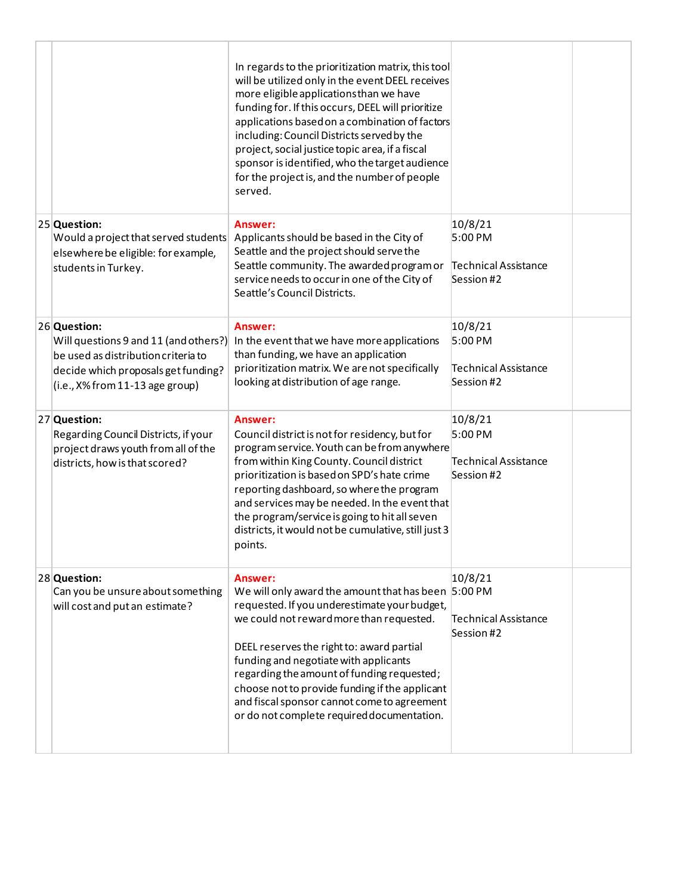|                                                                                                                                                                        | In regards to the prioritization matrix, this tool<br>will be utilized only in the event DEEL receives<br>more eligible applications than we have<br>funding for. If this occurs, DEEL will prioritize<br>applications based on a combination of factors<br>including: Council Districts served by the<br>project, social justice topic area, if a fiscal<br>sponsor is identified, who the target audience<br>for the project is, and the number of people<br>served. |                                                          |  |
|------------------------------------------------------------------------------------------------------------------------------------------------------------------------|------------------------------------------------------------------------------------------------------------------------------------------------------------------------------------------------------------------------------------------------------------------------------------------------------------------------------------------------------------------------------------------------------------------------------------------------------------------------|----------------------------------------------------------|--|
| 25 Question:<br>Would a project that served students<br>elsewhere be eligible: for example,<br>students in Turkey.                                                     | Answer:<br>Applicants should be based in the City of<br>Seattle and the project should serve the<br>Seattle community. The awarded program or<br>service needs to occur in one of the City of<br>Seattle's Council Districts.                                                                                                                                                                                                                                          | 10/8/21<br>5:00 PM<br>Technical Assistance<br>Session #2 |  |
| 26 Question:<br>Will questions 9 and 11 (and others?)<br>be used as distribution criteria to<br>decide which proposals get funding?<br>(i.e., X% from 11-13 age group) | Answer:<br>In the event that we have more applications<br>than funding, we have an application<br>prioritization matrix. We are not specifically<br>looking at distribution of age range.                                                                                                                                                                                                                                                                              | 10/8/21<br>5:00 PM<br>Technical Assistance<br>Session #2 |  |
| 27 Question:<br>Regarding Council Districts, if your<br>project draws youth from all of the<br>districts, how is that scored?                                          | Answer:<br>Council district is not for residency, but for<br>program service. Youth can be from anywhere<br>from within King County. Council district<br>prioritization is based on SPD's hate crime<br>reporting dashboard, so where the program<br>and services may be needed. In the event that<br>the program/service is going to hit all seven<br>districts, it would not be cumulative, still just 3<br>points.                                                  | 10/8/21<br>5:00 PM<br>Technical Assistance<br>Session #2 |  |
| 28 Question:<br>Can you be unsure about something<br>will cost and put an estimate?                                                                                    | Answer:<br>We will only award the amount that has been 5:00 PM<br>requested. If you underestimate your budget,<br>we could not reward more than requested.<br>DEEL reserves the right to: award partial<br>funding and negotiate with applicants<br>regarding the amount of funding requested;<br>choose not to provide funding if the applicant<br>and fiscal sponsor cannot come to agreement<br>or do not complete required documentation.                          | 10/8/21<br><b>Technical Assistance</b><br>Session #2     |  |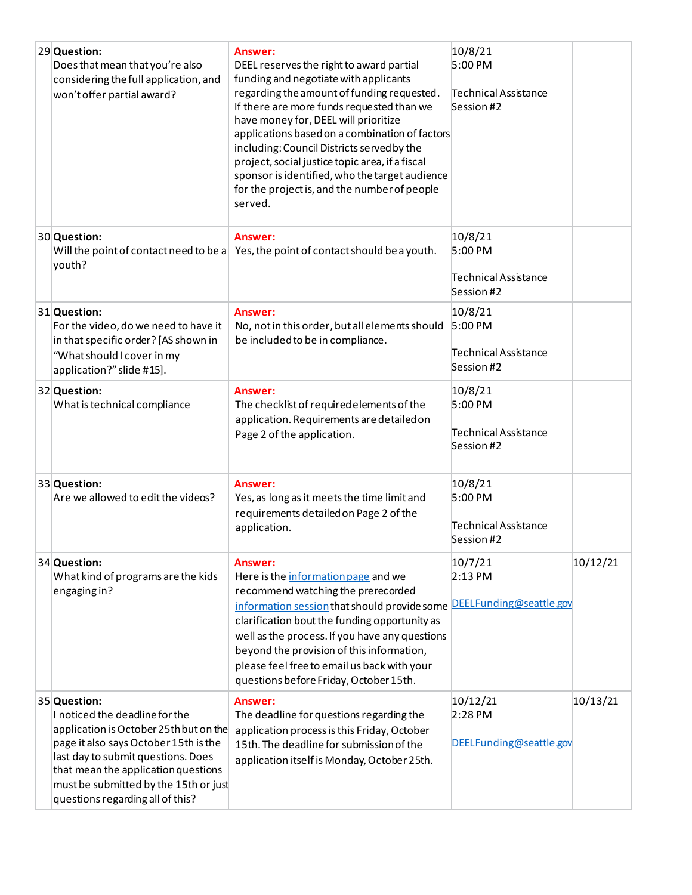| 29 Question:<br>Does that mean that you're also<br>considering the full application, and<br>won't offer partial award?                                                                                                                                                                      | Answer:<br>DEEL reserves the right to award partial<br>funding and negotiate with applicants<br>regarding the amount of funding requested.<br>If there are more funds requested than we<br>have money for, DEEL will prioritize<br>applications based on a combination of factors<br>including: Council Districts served by the<br>project, social justice topic area, if a fiscal<br>sponsor is identified, who the target audience<br>for the project is, and the number of people<br>served. | 10/8/21<br>5:00 PM<br>Technical Assistance<br>Session #2          |          |
|---------------------------------------------------------------------------------------------------------------------------------------------------------------------------------------------------------------------------------------------------------------------------------------------|-------------------------------------------------------------------------------------------------------------------------------------------------------------------------------------------------------------------------------------------------------------------------------------------------------------------------------------------------------------------------------------------------------------------------------------------------------------------------------------------------|-------------------------------------------------------------------|----------|
| 30 Question:<br>youth?                                                                                                                                                                                                                                                                      | Answer:<br>Will the point of contact need to be a $\vert$ Yes, the point of contact should be a youth.                                                                                                                                                                                                                                                                                                                                                                                          | 10/8/21<br>5:00 PM<br>Technical Assistance<br>Session #2          |          |
| 31 Question:<br>For the video, do we need to have it<br>in that specific order? [AS shown in<br>"What should I cover in my<br>application?" slide #15].                                                                                                                                     | Answer:<br>No, not in this order, but all elements should<br>be included to be in compliance.                                                                                                                                                                                                                                                                                                                                                                                                   | 10/8/21<br>$5:00$ PM<br><b>Technical Assistance</b><br>Session #2 |          |
| 32 Question:<br>What is technical compliance                                                                                                                                                                                                                                                | Answer:<br>The checklist of required elements of the<br>application. Requirements are detailed on<br>Page 2 of the application.                                                                                                                                                                                                                                                                                                                                                                 | 10/8/21<br>5:00 PM<br><b>Technical Assistance</b><br>Session #2   |          |
| 33 Question:<br>Are we allowed to edit the videos?                                                                                                                                                                                                                                          | Answer:<br>Yes, as long as it meets the time limit and<br>requirements detailed on Page 2 of the<br>application.                                                                                                                                                                                                                                                                                                                                                                                | 10/8/21<br>5:00 PM<br>Technical Assistance<br>Session #2          |          |
| 34 Question:<br>What kind of programs are the kids<br>engaging in?                                                                                                                                                                                                                          | Answer:<br>Here is the information page and we<br>recommend watching the prerecorded<br>information session that should provide some DEELFunding@seattle.gov<br>clarification bout the funding opportunity as<br>well as the process. If you have any questions<br>beyond the provision of this information,<br>please feel free to email us back with your<br>questions before Friday, October 15th.                                                                                           | 10/7/21<br>$2:13$ PM                                              | 10/12/21 |
| 35 Question:<br>I noticed the deadline for the<br>application is October 25th but on the<br>page it also says October 15th is the<br>last day to submit questions. Does<br>that mean the application questions<br>must be submitted by the 15th or just<br>questions regarding all of this? | Answer:<br>The deadline for questions regarding the<br>application process is this Friday, October<br>15th. The deadline for submission of the<br>application itself is Monday, October 25th.                                                                                                                                                                                                                                                                                                   | 10/12/21<br>$2:28$ PM<br>DEELFunding@seattle.gov                  | 10/13/21 |